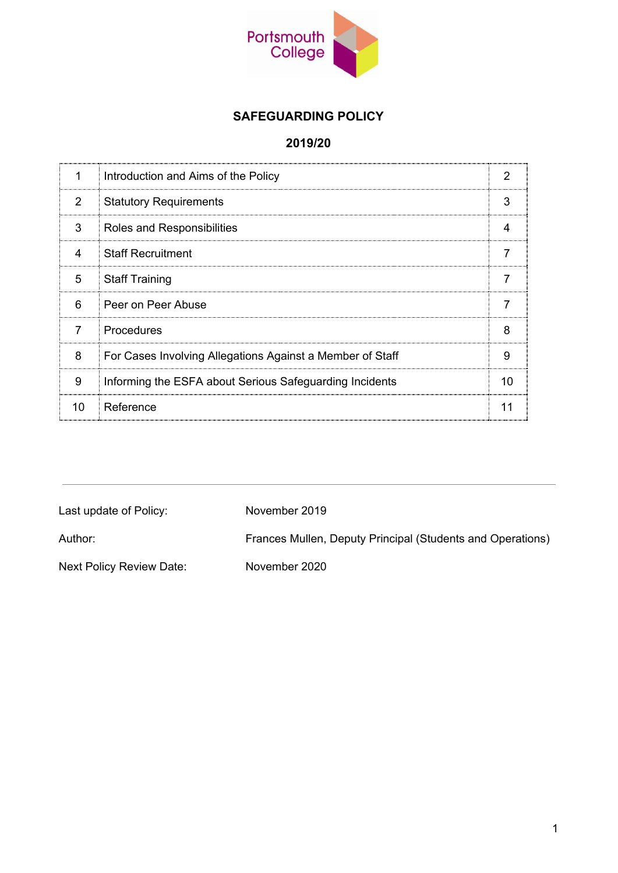

# **SAFEGUARDING POLICY**

#### **2019/20**

|                | Introduction and Aims of the Policy                       |   |
|----------------|-----------------------------------------------------------|---|
| 2              | <b>Statutory Requirements</b>                             |   |
| 3              | Roles and Responsibilities                                |   |
| 4              | Staff Recruitment                                         |   |
| 5              | Staff Training                                            |   |
| 6              | Peer on Peer Abuse                                        |   |
| $\overline{7}$ | Procedures                                                | 8 |
| 8              | For Cases Involving Allegations Against a Member of Staff |   |
| 9              | Informing the ESFA about Serious Safeguarding Incidents   |   |
| <sup>n</sup>   | Reference                                                 |   |

| Last update of Policy:   | November 2019                                              |
|--------------------------|------------------------------------------------------------|
| Author:                  | Frances Mullen, Deputy Principal (Students and Operations) |
| Next Policy Review Date: | November 2020                                              |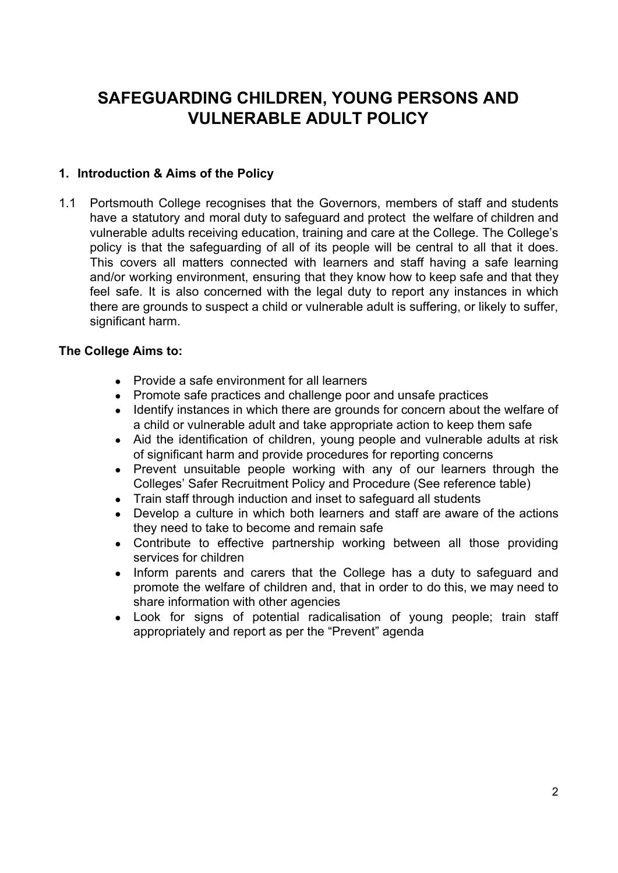# **SAFEGUARDING CHILDREN, YOUNG PERSONS AND VULNERABLE ADULT POLICY**

#### **1. Introduction & Aims of the Policy**

1.1 Portsmouth College recognises that the Governors, members of staff and students have a statutory and moral duty to safeguard and protect the welfare of children and vulnerable adults receiving education, training and care at the College. The College's policy is that the safeguarding of all of its people will be central to all that it does. This covers all matters connected with learners and staff having a safe learning and/or working environment, ensuring that they know how to keep safe and that they feel safe. It is also concerned with the legal duty to report any instances in which there are grounds to suspect a child or vulnerable adult is suffering, or likely to suffer, significant harm.

#### **The College Aims to:**

- Provide a safe environment for all learners
- Promote safe practices and challenge poor and unsafe practices
- Identify instances in which there are grounds for concern about the welfare of a child or vulnerable adult and take appropriate action to keep them safe
- Aid the identification of children, young people and vulnerable adults at risk of significant harm and provide procedures for reporting concerns
- Prevent unsuitable people working with any of our learners through the Colleges' Safer Recruitment Policy and Procedure (See reference table)
- Train staff through induction and inset to safeguard all students
- Develop a culture in which both learners and staff are aware of the actions they need to take to become and remain safe
- Contribute to effective partnership working between all those providing services for children
- Inform parents and carers that the College has a duty to safeguard and promote the welfare of children and, that in order to do this, we may need to share information with other agencies
- Look for signs of potential radicalisation of young people; train staff appropriately and report as per the "Prevent" agenda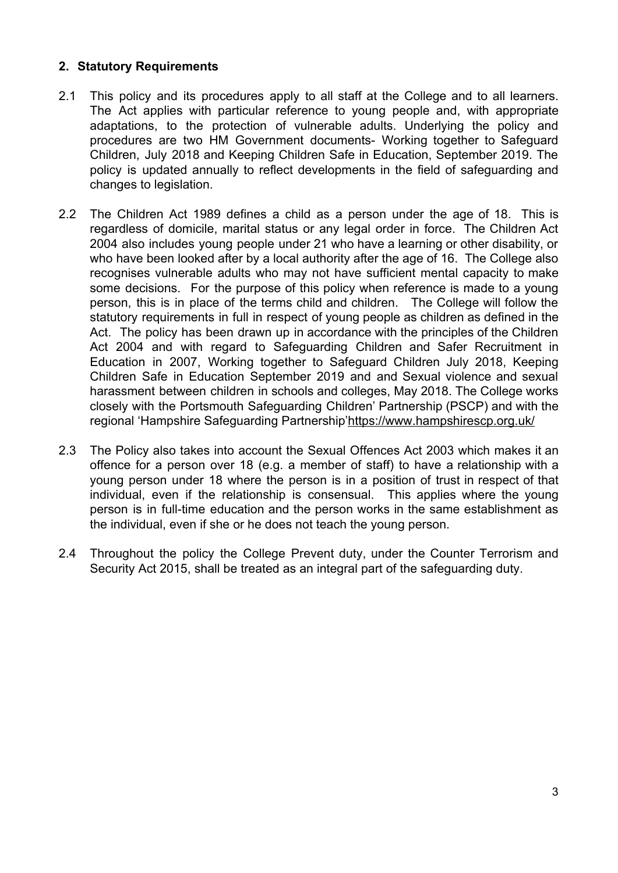#### **2. Statutory Requirements**

- 2.1 This policy and its procedures apply to all staff at the College and to all learners. The Act applies with particular reference to young people and, with appropriate adaptations, to the protection of vulnerable adults. Underlying the policy and procedures are two HM Government documents- Working together to Safeguard Children, July 2018 and Keeping Children Safe in Education, September 2019. The policy is updated annually to reflect developments in the field of safeguarding and changes to legislation.
- 2.2 The Children Act 1989 defines a child as a person under the age of 18. This is regardless of domicile, marital status or any legal order in force. The Children Act 2004 also includes young people under 21 who have a learning or other disability, or who have been looked after by a local authority after the age of 16. The College also recognises vulnerable adults who may not have sufficient mental capacity to make some decisions. For the purpose of this policy when reference is made to a young person, this is in place of the terms child and children. The College will follow the statutory requirements in full in respect of young people as children as defined in the Act. The policy has been drawn up in accordance with the principles of the Children Act 2004 and with regard to Safeguarding Children and Safer Recruitment in Education in 2007, Working together to Safeguard Children July 2018, Keeping Children Safe in Education September 2019 and and Sexual violence and sexual harassment between children in schools and colleges, May 2018. The College works closely with the Portsmouth Safeguarding Children' Partnership (PSCP) and with the regional 'Hampshire Safeguarding Partnership'<https://www.hampshirescp.org.uk/>
- 2.3 The Policy also takes into account the Sexual Offences Act 2003 which makes it an offence for a person over 18 (e.g. a member of staff) to have a relationship with a young person under 18 where the person is in a position of trust in respect of that individual, even if the relationship is consensual. This applies where the young person is in full-time education and the person works in the same establishment as the individual, even if she or he does not teach the young person.
- 2.4 Throughout the policy the College Prevent duty, under the Counter Terrorism and Security Act 2015, shall be treated as an integral part of the safeguarding duty.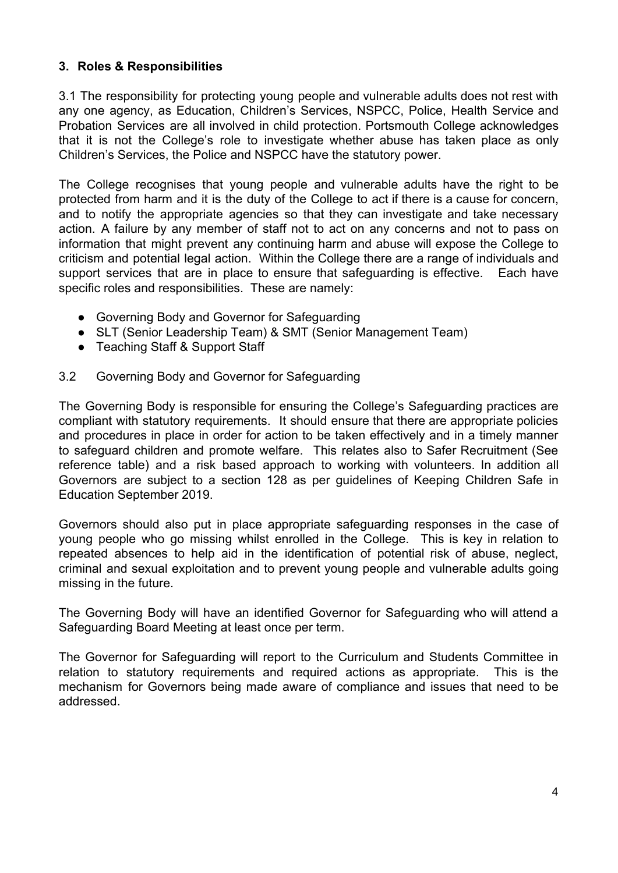#### **3. Roles & Responsibilities**

3.1 The responsibility for protecting young people and vulnerable adults does not rest with any one agency, as Education, Children's Services, NSPCC, Police, Health Service and Probation Services are all involved in child protection. Portsmouth College acknowledges that it is not the College's role to investigate whether abuse has taken place as only Children's Services, the Police and NSPCC have the statutory power.

The College recognises that young people and vulnerable adults have the right to be protected from harm and it is the duty of the College to act if there is a cause for concern, and to notify the appropriate agencies so that they can investigate and take necessary action. A failure by any member of staff not to act on any concerns and not to pass on information that might prevent any continuing harm and abuse will expose the College to criticism and potential legal action. Within the College there are a range of individuals and support services that are in place to ensure that safeguarding is effective. Each have specific roles and responsibilities. These are namely:

- Governing Body and Governor for Safeguarding
- SLT (Senior Leadership Team) & SMT (Senior Management Team)
- Teaching Staff & Support Staff

#### 3.2 Governing Body and Governor for Safeguarding

The Governing Body is responsible for ensuring the College's Safeguarding practices are compliant with statutory requirements. It should ensure that there are appropriate policies and procedures in place in order for action to be taken effectively and in a timely manner to safeguard children and promote welfare. This relates also to Safer Recruitment (See reference table) and a risk based approach to working with volunteers. In addition all Governors are subject to a section 128 as per guidelines of Keeping Children Safe in Education September 2019.

Governors should also put in place appropriate safeguarding responses in the case of young people who go missing whilst enrolled in the College. This is key in relation to repeated absences to help aid in the identification of potential risk of abuse, neglect, criminal and sexual exploitation and to prevent young people and vulnerable adults going missing in the future.

The Governing Body will have an identified Governor for Safeguarding who will attend a Safeguarding Board Meeting at least once per term.

The Governor for Safeguarding will report to the Curriculum and Students Committee in relation to statutory requirements and required actions as appropriate. This is the mechanism for Governors being made aware of compliance and issues that need to be addressed.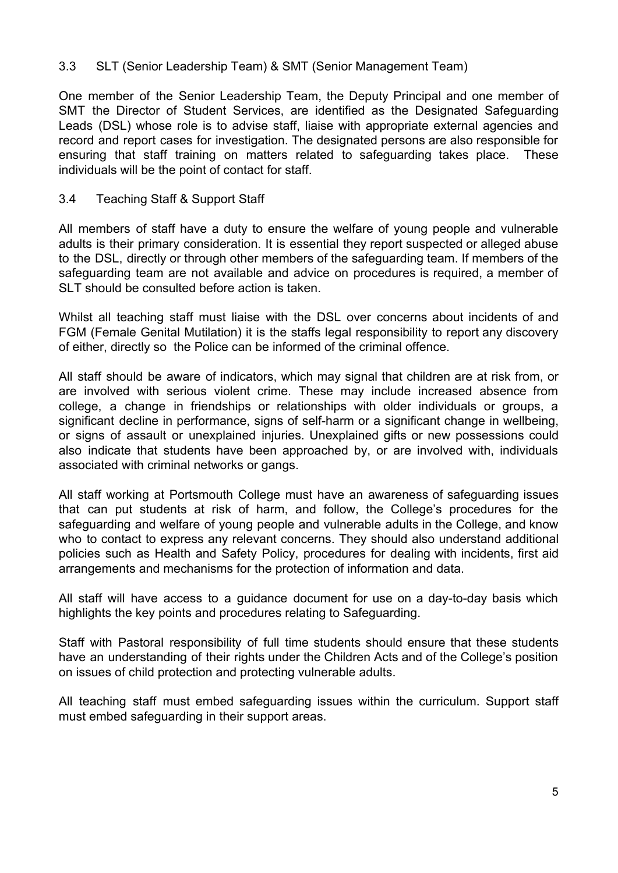#### 3.3 SLT (Senior Leadership Team) & SMT (Senior Management Team)

One member of the Senior Leadership Team, the Deputy Principal and one member of SMT the Director of Student Services, are identified as the Designated Safeguarding Leads (DSL) whose role is to advise staff, liaise with appropriate external agencies and record and report cases for investigation. The designated persons are also responsible for ensuring that staff training on matters related to safeguarding takes place. These individuals will be the point of contact for staff.

#### 3.4 Teaching Staff & Support Staff

All members of staff have a duty to ensure the welfare of young people and vulnerable adults is their primary consideration. It is essential they report suspected or alleged abuse to the DSL, directly or through other members of the safeguarding team. If members of the safeguarding team are not available and advice on procedures is required, a member of SLT should be consulted before action is taken.

Whilst all teaching staff must liaise with the DSL over concerns about incidents of and FGM (Female Genital Mutilation) it is the staffs legal responsibility to report any discovery of either, directly so the Police can be informed of the criminal offence.

All staff should be aware of indicators, which may signal that children are at risk from, or are involved with serious violent crime. These may include increased absence from college, a change in friendships or relationships with older individuals or groups, a significant decline in performance, signs of self-harm or a significant change in wellbeing, or signs of assault or unexplained injuries. Unexplained gifts or new possessions could also indicate that students have been approached by, or are involved with, individuals associated with criminal networks or gangs.

All staff working at Portsmouth College must have an awareness of safeguarding issues that can put students at risk of harm, and follow, the College's procedures for the safeguarding and welfare of young people and vulnerable adults in the College, and know who to contact to express any relevant concerns. They should also understand additional policies such as Health and Safety Policy, procedures for dealing with incidents, first aid arrangements and mechanisms for the protection of information and data.

All staff will have access to a guidance document for use on a day-to-day basis which highlights the key points and procedures relating to Safeguarding.

Staff with Pastoral responsibility of full time students should ensure that these students have an understanding of their rights under the Children Acts and of the College's position on issues of child protection and protecting vulnerable adults.

All teaching staff must embed safeguarding issues within the curriculum. Support staff must embed safeguarding in their support areas.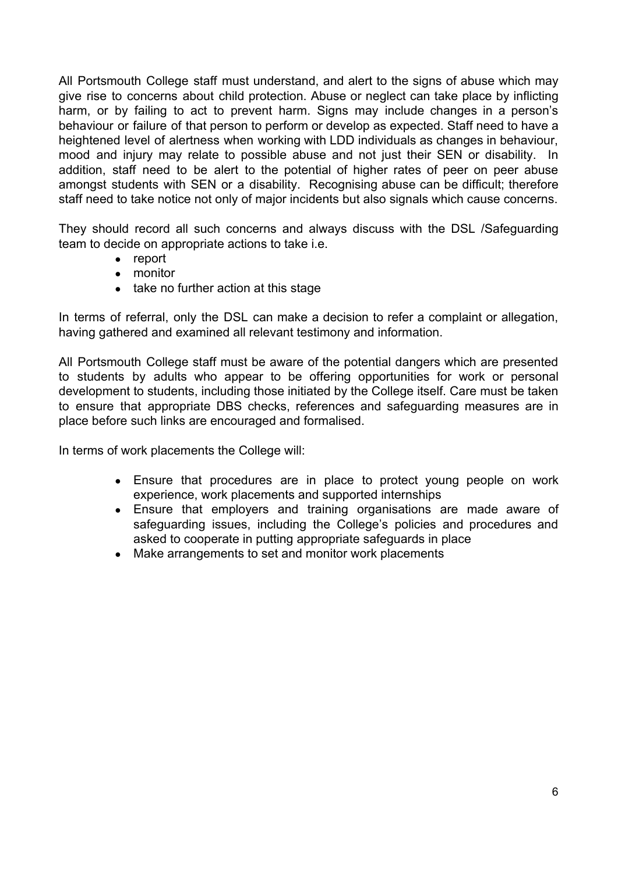All Portsmouth College staff must understand, and alert to the signs of abuse which may give rise to concerns about child protection. Abuse or neglect can take place by inflicting harm, or by failing to act to prevent harm. Signs may include changes in a person's behaviour or failure of that person to perform or develop as expected. Staff need to have a heightened level of alertness when working with LDD individuals as changes in behaviour, mood and injury may relate to possible abuse and not just their SEN or disability. In addition, staff need to be alert to the potential of higher rates of peer on peer abuse amongst students with SEN or a disability. Recognising abuse can be difficult; therefore staff need to take notice not only of major incidents but also signals which cause concerns.

They should record all such concerns and always discuss with the DSL /Safeguarding team to decide on appropriate actions to take i.e.

- report
- monitor
- take no further action at this stage

In terms of referral, only the DSL can make a decision to refer a complaint or allegation, having gathered and examined all relevant testimony and information.

All Portsmouth College staff must be aware of the potential dangers which are presented to students by adults who appear to be offering opportunities for work or personal development to students, including those initiated by the College itself. Care must be taken to ensure that appropriate DBS checks, references and safeguarding measures are in place before such links are encouraged and formalised.

In terms of work placements the College will:

- Ensure that procedures are in place to protect young people on work experience, work placements and supported internships
- Ensure that employers and training organisations are made aware of safeguarding issues, including the College's policies and procedures and asked to cooperate in putting appropriate safeguards in place
- Make arrangements to set and monitor work placements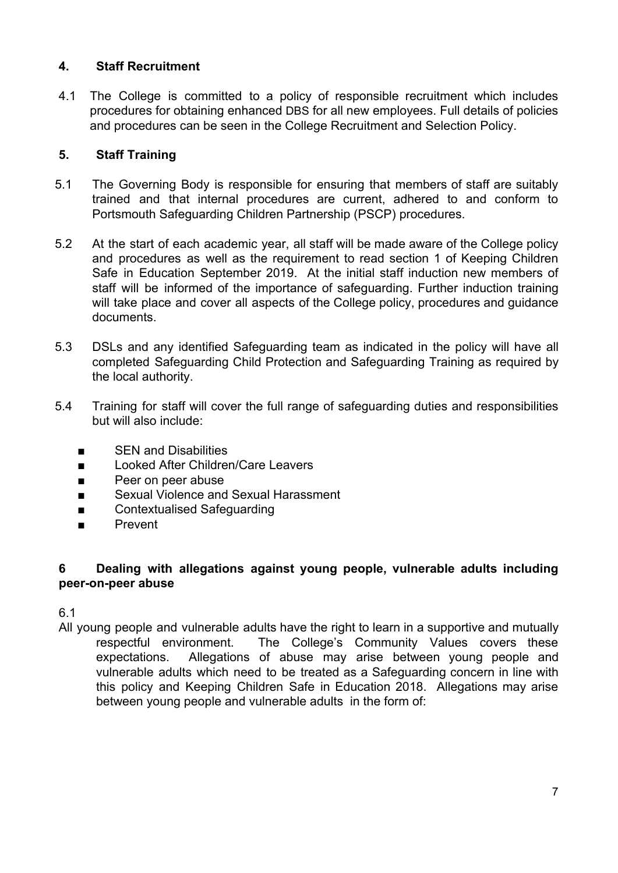#### **4. Staff Recruitment**

4.1 The College is committed to a policy of responsible recruitment which includes procedures for obtaining enhanced DBS for all new employees. Full details of policies and procedures can be seen in the College Recruitment and Selection Policy.

#### **5. Staff Training**

- 5.1 The Governing Body is responsible for ensuring that members of staff are suitably trained and that internal procedures are current, adhered to and conform to Portsmouth Safeguarding Children Partnership (PSCP) procedures.
- 5.2 At the start of each academic year, all staff will be made aware of the College policy and procedures as well as the requirement to read section 1 of Keeping Children Safe in Education September 2019. At the initial staff induction new members of staff will be informed of the importance of safeguarding. Further induction training will take place and cover all aspects of the College policy, procedures and guidance documents.
- 5.3 DSLs and any identified Safeguarding team as indicated in the policy will have all completed Safeguarding Child Protection and Safeguarding Training as required by the local authority.
- 5.4 Training for staff will cover the full range of safeguarding duties and responsibilities but will also include:
	- SEN and Disabilities
	- Looked After Children/Care Leavers
	- Peer on peer abuse
	- Sexual Violence and Sexual Harassment
	- Contextualised Safeguarding
	- Prevent

#### **6 Dealing with allegations against young people, vulnerable adults including peer-on-peer abuse**

# 6.1

All young people and vulnerable adults have the right to learn in a supportive and mutually respectful environment. The College's Community Values covers these expectations. Allegations of abuse may arise between young people and vulnerable adults which need to be treated as a Safeguarding concern in line with this policy and Keeping Children Safe in Education 2018. Allegations may arise between young people and vulnerable adults in the form of: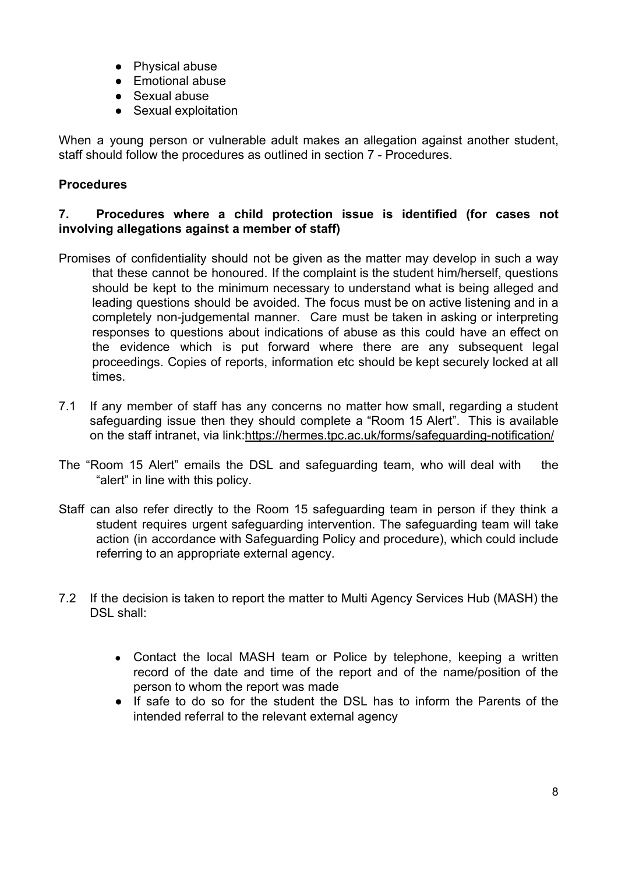- Physical abuse
- Emotional abuse
- Sexual abuse
- Sexual exploitation

When a young person or vulnerable adult makes an allegation against another student, staff should follow the procedures as outlined in section 7 - Procedures.

### **Procedures**

### **7. Procedures where a child protection issue is identified (for cases not involving allegations against a member of staff)**

- Promises of confidentiality should not be given as the matter may develop in such a way that these cannot be honoured. If the complaint is the student him/herself, questions should be kept to the minimum necessary to understand what is being alleged and leading questions should be avoided. The focus must be on active listening and in a completely non-judgemental manner. Care must be taken in asking or interpreting responses to questions about indications of abuse as this could have an effect on the evidence which is put forward where there are any subsequent legal proceedings. Copies of reports, information etc should be kept securely locked at all times.
- 7.1 If any member of staff has any concerns no matter how small, regarding a student safeguarding issue then they should complete a "Room 15 Alert". This is available on the staff intranet, via link[:https://hermes.tpc.ac.uk/forms/safeguarding-notification/](https://hermes.tpc.ac.uk/forms/safeguarding-notification/)
- The "Room 15 Alert" emails the DSL and safeguarding team, who will deal with the "alert" in line with this policy.
- Staff can also refer directly to the Room 15 safeguarding team in person if they think a student requires urgent safeguarding intervention. The safeguarding team will take action (in accordance with Safeguarding Policy and procedure), which could include referring to an appropriate external agency.
- 7.2 If the decision is taken to report the matter to Multi Agency Services Hub (MASH) the DSL shall:
	- Contact the local MASH team or Police by telephone, keeping a written record of the date and time of the report and of the name/position of the person to whom the report was made
	- If safe to do so for the student the DSL has to inform the Parents of the intended referral to the relevant external agency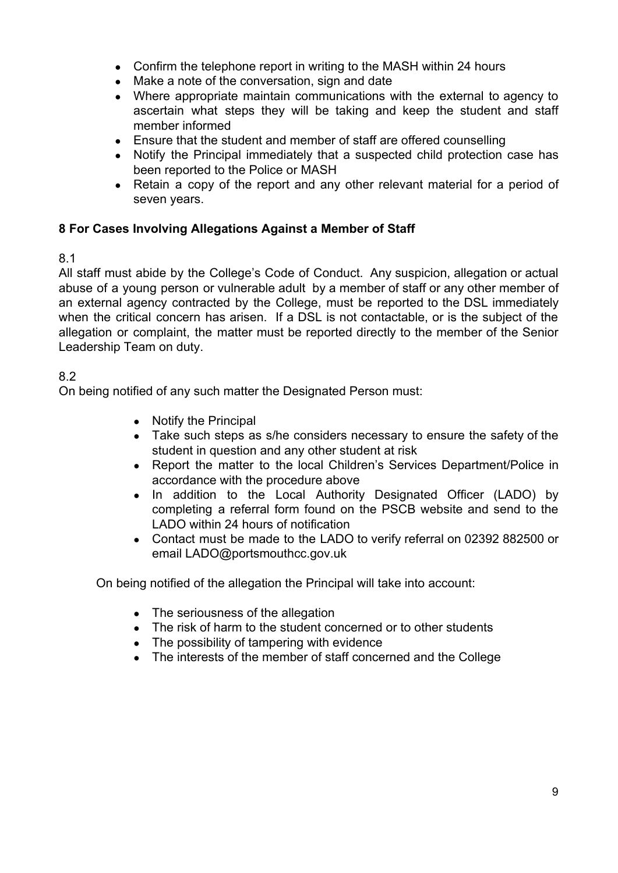- Confirm the telephone report in writing to the MASH within 24 hours
- Make a note of the conversation, sign and date
- Where appropriate maintain communications with the external to agency to ascertain what steps they will be taking and keep the student and staff member informed
- Ensure that the student and member of staff are offered counselling
- Notify the Principal immediately that a suspected child protection case has been reported to the Police or MASH
- Retain a copy of the report and any other relevant material for a period of seven years.

#### **8 For Cases Involving Allegations Against a Member of Staff**

#### 8.1

All staff must abide by the College's Code of Conduct. Any suspicion, allegation or actual abuse of a young person or vulnerable adult by a member of staff or any other member of an external agency contracted by the College, must be reported to the DSL immediately when the critical concern has arisen. If a DSL is not contactable, or is the subject of the allegation or complaint, the matter must be reported directly to the member of the Senior Leadership Team on duty.

### 8.2

On being notified of any such matter the Designated Person must:

- Notify the Principal
- Take such steps as s/he considers necessary to ensure the safety of the student in question and any other student at risk
- Report the matter to the local Children's Services Department/Police in accordance with the procedure above
- In addition to the Local Authority Designated Officer (LADO) by completing a referral form found on the PSCB website and send to the LADO within 24 hours of notification
- Contact must be made to the LADO to verify referral on 02392 882500 or email LADO@portsmouthcc.gov.uk

On being notified of the allegation the Principal will take into account:

- The seriousness of the allegation
- The risk of harm to the student concerned or to other students
- The possibility of tampering with evidence
- The interests of the member of staff concerned and the College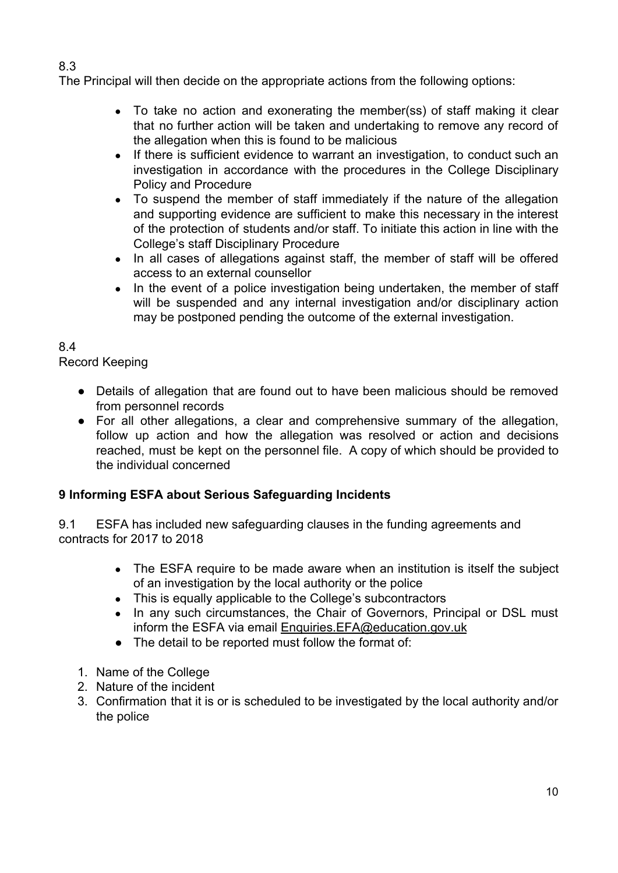8.3

The Principal will then decide on the appropriate actions from the following options:

- To take no action and exonerating the member(ss) of staff making it clear that no further action will be taken and undertaking to remove any record of the allegation when this is found to be malicious
- If there is sufficient evidence to warrant an investigation, to conduct such an investigation in accordance with the procedures in the College Disciplinary Policy and Procedure
- To suspend the member of staff immediately if the nature of the allegation and supporting evidence are sufficient to make this necessary in the interest of the protection of students and/or staff. To initiate this action in line with the College's staff Disciplinary Procedure
- In all cases of allegations against staff, the member of staff will be offered access to an external counsellor
- In the event of a police investigation being undertaken, the member of staff will be suspended and any internal investigation and/or disciplinary action may be postponed pending the outcome of the external investigation.

# 8.4

Record Keeping

- Details of allegation that are found out to have been malicious should be removed from personnel records
- For all other allegations, a clear and comprehensive summary of the allegation, follow up action and how the allegation was resolved or action and decisions reached, must be kept on the personnel file. A copy of which should be provided to the individual concerned

# **9 Informing ESFA about Serious Safeguarding Incidents**

9.1 ESFA has included new safeguarding clauses in the funding agreements and contracts for 2017 to 2018

- The ESFA require to be made aware when an institution is itself the subject of an investigation by the local authority or the police
- This is equally applicable to the College's subcontractors
- In any such circumstances, the Chair of Governors, Principal or DSL must inform the ESFA via email [Enquiries.EFA@education.gov.uk](mailto:Enquiries.EFA@education.gov.uk)
- The detail to be reported must follow the format of:
- 1. Name of the College
- 2. Nature of the incident
- 3. Confirmation that it is or is scheduled to be investigated by the local authority and/or the police